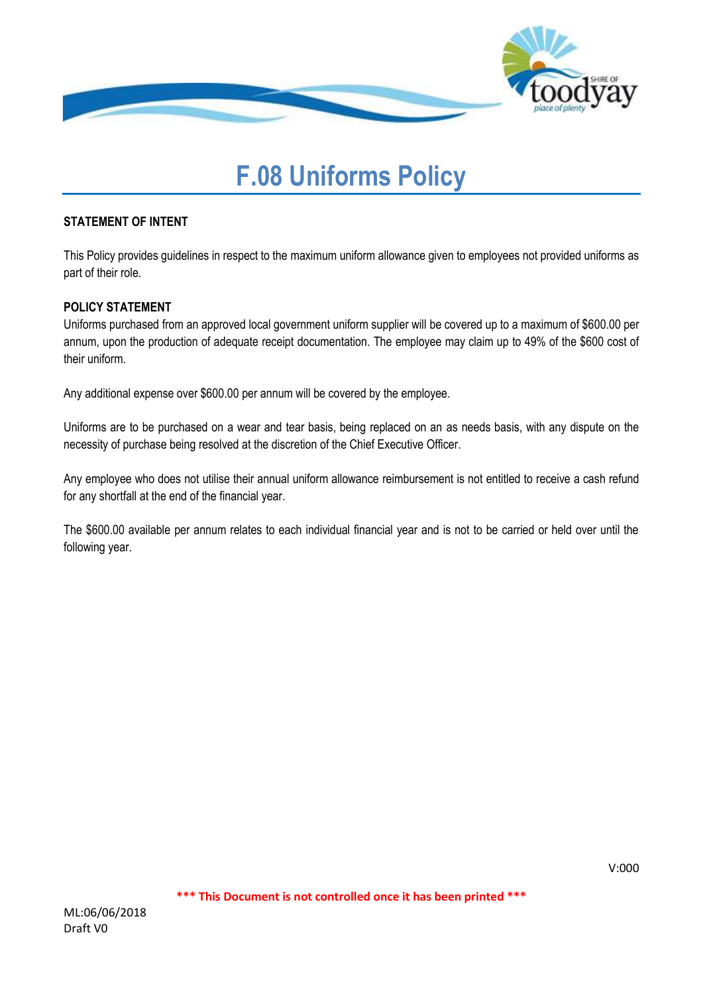

# **F.08 Uniforms Policy**

#### **STATEMENT OF INTENT**

This Policy provides guidelines in respect to the maximum uniform allowance given to employees not provided uniforms as part of their role.

## **POLICY STATEMENT**

Uniforms purchased from an approved local government uniform supplier will be covered up to a maximum of \$600.00 per annum, upon the production of adequate receipt documentation. The employee may claim up to 49% of the \$600 cost of their uniform.

Any additional expense over \$600.00 per annum will be covered by the employee.

Uniforms are to be purchased on a wear and tear basis, being replaced on an as needs basis, with any dispute on the necessity of purchase being resolved at the discretion of the Chief Executive Officer.

Any employee who does not utilise their annual uniform allowance reimbursement is not entitled to receive a cash refund for any shortfall at the end of the financial year.

The \$600.00 available per annum relates to each individual financial year and is not to be carried or held over until the following year.